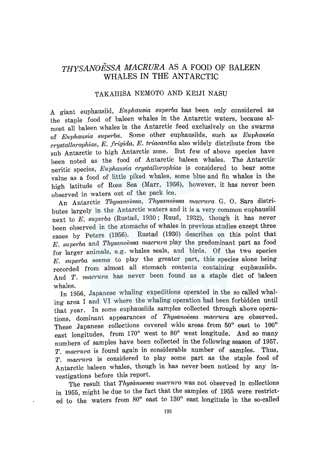# *THYSANOESSA MACRURA* AS A FOOD OF BALEEN WHALES IN THE ANTARCTIC

# TAKAHISA NEMOTO AND KEIJI NASU

A giant euphausiid, *Euphausia superba* has been only considered as the staple food of baleen whales in the Antarctic waters, because almost all baleen whales in the Antarctic feed exclusively on the swarms of *Euphausia superba.* Some other euphausiids, such as *Euphausia crystallorophias, E. frigida, E. triacantha* also widely distribute from the sub Antarctic to high Antarctic zone. But few of above species have been noted as the food of Antarctic baleen whales. The Antarctic neritic species, *Euphausia crystallorophias* is considered to bear some value as a food of little piked whales, some blue and fin whales in the high latitude of Ross Sea (Marr, 1956), however, it has never been observed in waters out of the pack ice.

An Antarctic *Thysanoessa, Thysanoessa maerura* G. 0. Sars distributes largely in the Antarctic waters and it is a very common euphausiid next to *E. superba* (Rustad, 1930 ; Ruud, 1932), though it has never been observed in the stomachs of whales in previous studies except three cases by Peters (1956). Rustad (1930) describes on this point that *E. superba* and *Thysanoessa maerura* play the predominant part as food for larger animals, e.g. whales seals, and birds. Of the two species *E. superba* seems to play the greater part, this species alone being recorded from almost all stomach contents containing euphausiids. And *T. macrura* has never been found as a staple diet of baleen whales.

In 1956, Japanese whaling expeditions operated in the so called whaling area I and VI where the whaling operation had been forbidden until that year. In some euphausiids samples collected through above operations, dominant appearances of *Thysanoessa maerura* are observed. These Japanese collections covered wide areas from 50° east to 100° east longitudes, from  $170^{\circ}$  west to  $80^{\circ}$  west longitude. And so many numbers of samples have been collected in the following season of 1957. *T. maerura* is found again in considerable number of samples. Thus, *T. maerura* is considered to play some part as the staple food of Antarctic baleen whales, though in has never been noticed by any investigations before this report.

The result that *Thysanoessa macrura* was not observed in collections in 1955, might be due to the fact that the samples of 1955 were restricted to the waters from  $80^{\circ}$  east to  $130^{\circ}$  east longitude in the so-called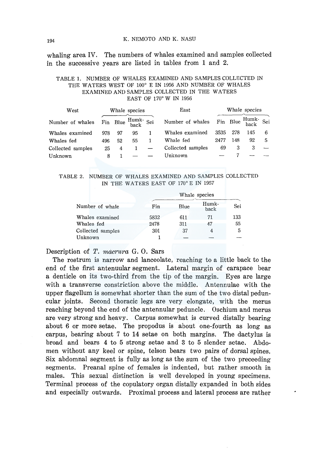whaling area IV. The numbers of whales examined and samples collected in the successive years are listed in tables from 1 and 2.

### TABLE 1. NUMBER OF WHALES EXAMINED AND SAMPLES COLLECTED IN THE WATERS WEST OF 100° E IN 1956 AND NUMBER OF WHALES EXAMINED AND SAMPLES COLLECTED IN THE WATERS EAST OF 170° W IN 1956

| West              |     | Whale species |                   |  | East              | Whale species |     |                    |   |
|-------------------|-----|---------------|-------------------|--|-------------------|---------------|-----|--------------------|---|
| Number of whales  |     |               | Fin Blue Humk Sei |  | Number of whales  |               |     | Fin Blue Humk- Sei |   |
| Whales examined   | 978 | 97            | 95                |  | Whales examined   | 3535          | 278 | 145                | 6 |
| Whales fed        | 496 | 52            | 55                |  | Whale fed         | 2477          | 148 | 92                 | 5 |
| Collected samples | 25. | 4             |                   |  | Collected samples | 69            |     |                    |   |
| Unknown           | 8   |               |                   |  | Unknown           |               |     |                    |   |

### TABLE 2. NUMBER OF WHALES EXAMINED AND SAMPLES COLLECTED IN THE WATERS EAST OF 170° E IN 1957

|                   | Whale species |      |               |     |  |  |
|-------------------|---------------|------|---------------|-----|--|--|
| Number of whale   | Fin           | Blue | Humk-<br>back | Sei |  |  |
| Whales examined   | 5832          | 611  | 71            | 133 |  |  |
| Whales fed        | 2478          | 311  | 47            | 55  |  |  |
| Collected samples | 301           | 37   | 4             | 5   |  |  |
| Unknown           |               |      |               |     |  |  |

Description of T. *macrura* G. 0. Sars

The rostrum is narrow and lanceolate, reaching to a little back to the end of the first antenuular segment. Lateral margin of carapace bear a denticle on its two-third from the tip of the margin. Eyes are large with a transverse constriction above the middle. Antennulae with the upper flagellum is somewhat shorter than the sum of the two distal peduncular joints. Second thoracic legs are very elongate, with the merus reaching beyond the end of the antennular peduncle. Oschium and merus are very strong and heavy. Carpus somewhat is curved distally bearing about 6 or more setae. The propodus is about one-fourth as long as carpus, bearing about 7 to 14 setae on both margins. The dactylus is broad and bears 4 to 5 strong setae and 3 to 5 slender setae. Abdomen without any keel or spine, telson bears two pairs of dorsal spines. Six abdomnal segment is fully as long as the sum of the two preceeding segments. Preanal spine of females is indented, but rather smooth in males. This sexual distinction is well developed in young specimens. Terminal process of the copulatory organ distally expanded in both sides and especially outwards. Proximal process and lateral process are rather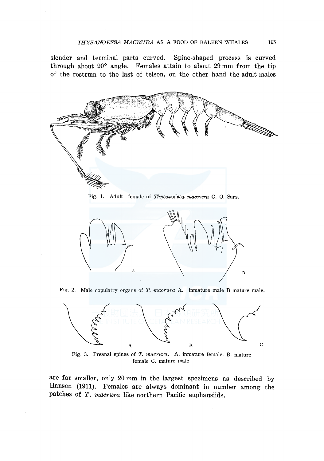slender and terminal parts curved. Spine-shaped process is curved through about 90° angle. Females attain to about 29 mm from the tip of the rostrum to the last of telson, on the other hand the adult males



Fig. 1. Adult female of *Thysanoëssa macrura* G. O. Sars.



Fig. 2. Male copulatry organs of *T. macrura* A. inmature male B mature male.



Fig. 3. Preanal spines of *T. macrura.* A. inmature female. B. mature female C. mature male

are far smaller, only 20 mm in the largest specimens as described by Hansen (1911). Females are always dominant in number among the patches of T. *macrura* like northern Pacific euphausiids.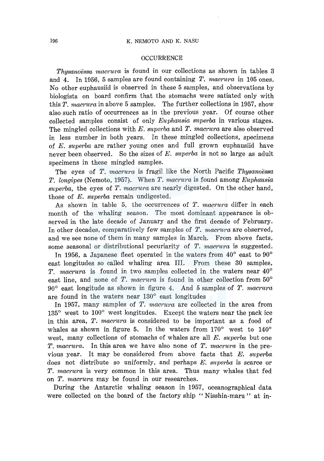### 196 K. NEMOTO AND K. NASU

#### OCCURRENCE

*Thysanoessa macrura* is found in our collections as shown in tables 3 and 4. In 1956, 5 samples are found containing *T. macrura* in 105 ones. No other euphausiid is observed in these 5 samples, and observations by biologists on board confirm that the stomachs were satiated only with this *T. macrura* in above 5 samples. The further collections in 1957, show also such ratio of occurrences as in the previous year. Of course other collected samples consist of only *Euphausia superba* in various stages. The mingled collections with *E. superba* and *T. macrura* are also observed in less number in both years. In these mingled collections, specimens of *E. superba* are rather young ones and full grown euphausiid have never been observed. So the sizes of *E. superba* is not so large as adult specimens in these mingled samples.

The eyes of *T. macrura* is fragil like the North Pacific *Thysanoessa T. longipes* (Nemoto, 1957). When *T. macrura* is found among *Euphausia superba,* the eyes of *T. macrura* are nearly digested. On the other hand, those of *E. superba* remain undigested.

As shown in table 5, the occurrences of *T. macrura* differ in each month of the whaling season. The most dominant appearance is observed in the late decade of January and the first decade of February. In other decades, comparatively few samples of *T. macrura* are observed, and we see none of them in many samples in March. From above facts, some seasonal or distributional pecuriarity of *T. macrura* is suggested.

In 1956, a Japanese fleet operated in the waters from  $40^{\circ}$  east to  $90^{\circ}$ east longitudes so called whaling area III. From these 30 samples, *T. macrura* is found in two samples collected in the waters near 40° east line, and none of *T. macrura* is found in other collection from 50° 90° east longitude as shown in figure 4. And 5 samples of *T. macrura*  are found in the waters near 130° east longitudes

In 1957, many samples of *T. macrura* are collected in the area from 135° west to 100° west longitudes. Except the waters near the pack ice in this area, *T. macrura* is considered to be important as a food of whales as shown in figure 5. In the waters from  $170^{\circ}$  west to  $140^{\circ}$ west, many collections of stomachs of whales are all *E. superba* but one *T. macrura.* In this area we have also none of *T. macrura* in the previous year. It may be considered from above facts that *E. superba*  does not distribute so uniformly, and perhaps *E. superba* is scarce or *T. macrura* is very common in this area. Thus many whales that fed on *T. macrura* may be found in our researches.

During the Antarctic whaling season in 1957, oceanographical data were collected on the board of the factory ship "Nisshin-maru" at in-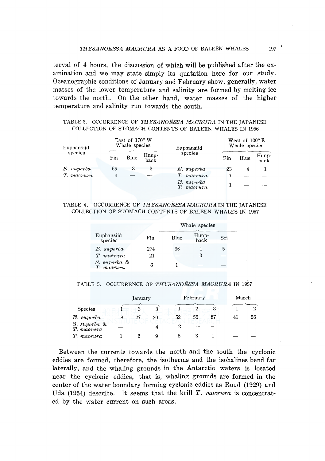terval of 4 hours, the discussion of which will be published after the examination and we may state simply its quatation here for our study. Oceanographic conditions of January and February show, generally, water masses of the lower temperature and salinity are formed by melting ice towards the north. On the other hand, water masses of the higher temperature and salinity run towards the south.

## TABLE 3. OCCURRENCE OF *THYSANOESSA MACRURA* IN THE JAPANESE COLLECTION OF STOMACH CONTENTS OF BALEEN WHALES IN 1956

| Euphansiid<br>species | East of 170° W<br>Whale species |      |                  | Euphansiid               | West of $100^{\circ}$ E<br>Whale species |      |               |
|-----------------------|---------------------------------|------|------------------|--------------------------|------------------------------------------|------|---------------|
|                       | Fin                             | Blue | $H$ unp-<br>back | species                  | Fin                                      | Blue | Hunp-<br>back |
| $E.$ superba          | 65                              | 3    | З                | E. superba               | 23                                       | 4    |               |
| T. macrura            | 4                               |      |                  | T. macrura               |                                          |      |               |
|                       |                                 |      |                  | E. superba<br>T. macrura |                                          |      |               |

#### TABLE 4. OCCURRENCE OF *THYSANOESSAMACRURA* IN THE JAPANESE COLLECTION OF STOMACH CONTENTS OF BALEEN WHALES IN 1957

|                            |     | Whale species |               |     |  |  |
|----------------------------|-----|---------------|---------------|-----|--|--|
| Euphansiid<br>species      | Fin | Blue          | Hunp-<br>back | Sei |  |  |
| $E.$ superba               | 274 | 36            |               | 5   |  |  |
| T. macrura                 | 21  |               | 3             |     |  |  |
| S. superba &<br>T. macrura | в   |               |               |     |  |  |

### TABLE 5. OCCURRENCE OF *THYSANOESSA MACRURA* IN 1957

|                            | January |    | February |    |    | March |    |
|----------------------------|---------|----|----------|----|----|-------|----|
| <b>Species</b>             | 2       |    |          |    |    |       |    |
| $E.$ superba               | 27      | 20 | 52       | 55 | 87 | 41    | 26 |
| S. superba &<br>T. macrura |         |    |          |    |    |       |    |
| T. macrura                 |         |    |          |    |    |       |    |

Between the currents towards the north and the south the cyclonic eddies are formed, therefore, the isotherms and the isohalines bend far laterally, and the whaling grounds in the Antarctic waters is located near the cyclonic eddies, that is, whaling grounds are formed in the center of the water boundary forming cyclonic eddies as Ruud (1929) and Uda (1954) describe. It seems that the krill T. *macrura* is concentrated by the water current on such areas.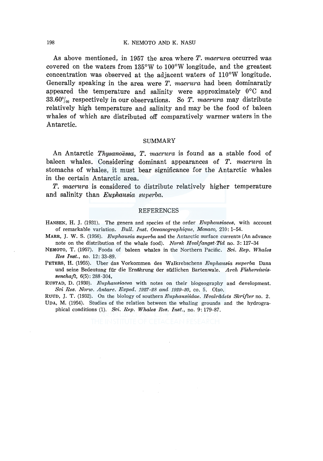As above mentioned, in 1957 the area where *T. macrura* occurred was covered on the waters from 135°W to 100°W longitude, and the greatest concentration was observed at the adjacent waters of 110°W longitude. Generally speaking in the area were *T. macrura* had been dominaratly appeared the temperature and salinity were approximately  $0^{\circ}$ C and 33.60°/00 respectively in our observations. So *T. macrura* may distribute relatively high temperature and salinity and may be the food of baleen whales of which are distributed off comparatively warmer waters in the Antarctic.

### SUMMARY

An Antarctic *Thysanoessa, T. macrura* is found as a stable food of baleen whales. Considering dominant appearances of *T. macrura* in stomachs of whales, it must bear significance for the Antarctic whales in the certain Antarctic area.

*T. macrura* is considered to distribute relatively higher temperature and salinity than *Euphausia superba.* 

#### **REFERENCES**

- HANSEN, H. J. (1931). The genera and species of the order *Euphausiaces,* with account of remarkable variation. *Bull. Inst. Oceanographique, Monaco,* 210: 1-54.
- MARR, J. W. S. (1956). *Euphausia superba* and the Antarctic surface currents (An advance note on the distribution of the whale food). *Norsk Hvalfangst-Tid* no. 3: 127-34
- NEMOTO, T. (1957). Foods of baleen whales in the Northern Pacific. *Sci. Rep. Whales Res Inst.,* no. 12: 33-89.
- PETERS, H. (1955). Uber das Vorkommen des Walkrebschens *Enphausia superba* Dana und seine Bedeutung fiir die Ernahrung der siid!ichen Bartenwale. *Arch Fishereiwissenchaft,* 6(5): 288-304,

RUSTAD, D. (1930). *Euphausiacea* with notes on their biogeography and development. *Sci Res. Norw. Antarc. Exped. 1927-28 and 1929-30,* co. 5. Olso.

RUUD, J. T. (1932). On the biology of southern *Euphausiidae. Hvalriidets Skrifter* no. 2. UDA, M. (1954). Studies of the relation between the whaling grounds and the hydrographical conditions (1). *Sci. Rep. Whales Res. Inst.,* no. 9: 179-87.